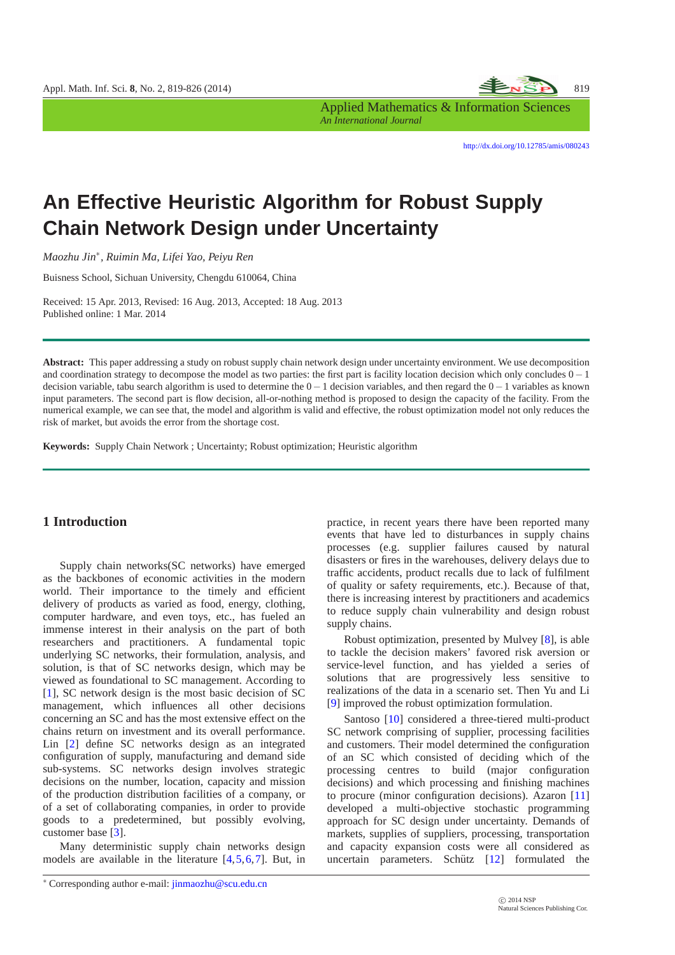

*An International Journal*

<http://dx.doi.org/10.12785/amis/080243>

# **An Effective Heuristic Algorithm for Robust Supply Chain Network Design under Uncertainty**

*Maozhu Jin*∗ *, Ruimin Ma, Lifei Yao, Peiyu Ren*

Buisness School, Sichuan University, Chengdu 610064, China

Received: 15 Apr. 2013, Revised: 16 Aug. 2013, Accepted: 18 Aug. 2013 Published online: 1 Mar. 2014

**Abstract:** This paper addressing a study on robust supply chain network design under uncertainty environment. We use decomposition and coordination strategy to decompose the model as two parties: the first part is facility location decision which only concludes 0−1 decision variable, tabu search algorithm is used to determine the 0−1 decision variables, and then regard the 0−1 variables as known input parameters. The second part is flow decision, all-or-nothing method is proposed to design the capacity of the facility. From the numerical example, we can see that, the model and algorithm is valid and effective, the robust optimization model not only reduces the risk of market, but avoids the error from the shortage cost.

**Keywords:** Supply Chain Network ; Uncertainty; Robust optimization; Heuristic algorithm

## **1 Introduction**

Supply chain networks(SC networks) have emerged as the backbones of economic activities in the modern world. Their importance to the timely and efficient delivery of products as varied as food, energy, clothing, computer hardware, and even toys, etc., has fueled an immense interest in their analysis on the part of both researchers and practitioners. A fundamental topic underlying SC networks, their formulation, analysis, and solution, is that of SC networks design, which may be viewed as foundational to SC management. According to [\[1\]](#page-6-0), SC network design is the most basic decision of SC management, which influences all other decisions concerning an SC and has the most extensive effect on the chains return on investment and its overall performance. Lin [\[2\]](#page-6-1) define SC networks design as an integrated configuration of supply, manufacturing and demand side sub-systems. SC networks design involves strategic decisions on the number, location, capacity and mission of the production distribution facilities of a company, or of a set of collaborating companies, in order to provide goods to a predetermined, but possibly evolving, customer base [\[3\]](#page-6-2).

Many deterministic supply chain networks design models are available in the literature [\[4,](#page-6-3)[5,](#page-6-4)[6,](#page-6-5)[7\]](#page-6-6). But, in practice, in recent years there have been reported many events that have led to disturbances in supply chains processes (e.g. supplier failures caused by natural disasters or fires in the warehouses, delivery delays due to traffic accidents, product recalls due to lack of fulfilment of quality or safety requirements, etc.). Because of that, there is increasing interest by practitioners and academics to reduce supply chain vulnerability and design robust supply chains.

Robust optimization, presented by Mulvey [\[8\]](#page-6-7), is able to tackle the decision makers' favored risk aversion or service-level function, and has yielded a series of solutions that are progressively less sensitive to realizations of the data in a scenario set. Then Yu and Li [\[9\]](#page-6-8) improved the robust optimization formulation.

Santoso [\[10\]](#page-6-9) considered a three-tiered multi-product SC network comprising of supplier, processing facilities and customers. Their model determined the configuration of an SC which consisted of deciding which of the processing centres to build (major configuration decisions) and which processing and finishing machines to procure (minor configuration decisions). Azaron [\[11\]](#page-6-10) developed a multi-objective stochastic programming approach for SC design under uncertainty. Demands of markets, supplies of suppliers, processing, transportation and capacity expansion costs were all considered as uncertain parameters. Schütz  $[12]$  $[12]$  formulated the

<sup>∗</sup> Corresponding author e-mail: jinmaozhu@scu.edu.cn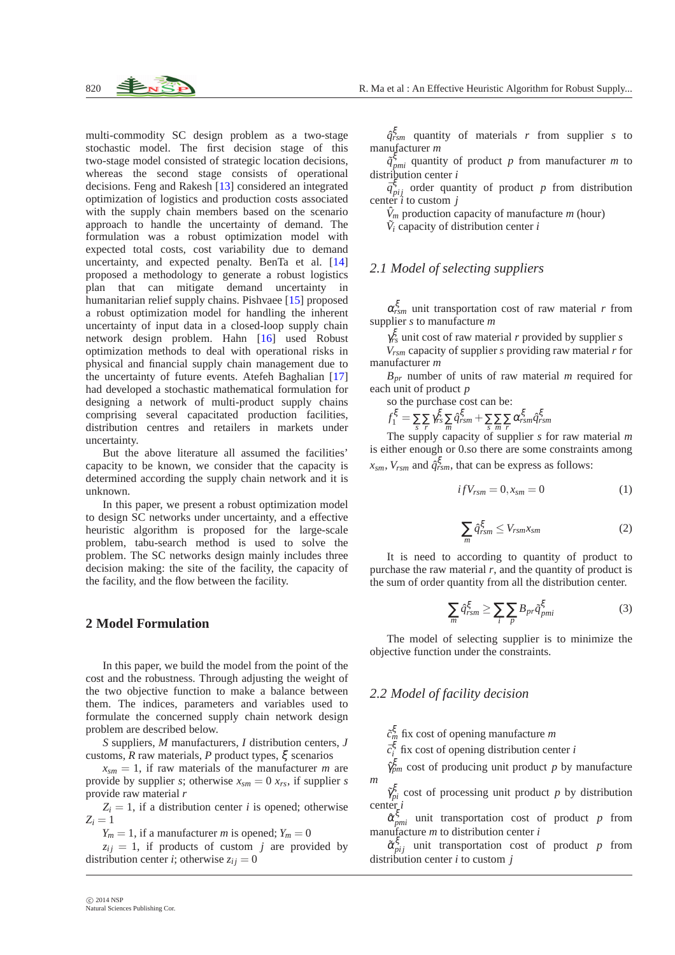multi-commodity SC design problem as a two-stage stochastic model. The first decision stage of this two-stage model consisted of strategic location decisions, whereas the second stage consists of operational decisions. Feng and Rakesh [\[13\]](#page-6-12) considered an integrated optimization of logistics and production costs associated with the supply chain members based on the scenario approach to handle the uncertainty of demand. The formulation was a robust optimization model with expected total costs, cost variability due to demand uncertainty, and expected penalty. BenTa et al. [\[14\]](#page-6-13) proposed a methodology to generate a robust logistics plan that can mitigate demand uncertainty in humanitarian relief supply chains. Pishvaee [\[15\]](#page-6-14) proposed a robust optimization model for handling the inherent uncertainty of input data in a closed-loop supply chain network design problem. Hahn [\[16\]](#page-6-15) used Robust optimization methods to deal with operational risks in physical and financial supply chain management due to the uncertainty of future events. Atefeh Baghalian [\[17\]](#page-6-16) had developed a stochastic mathematical formulation for designing a network of multi-product supply chains comprising several capacitated production facilities, distribution centres and retailers in markets under uncertainty.

But the above literature all assumed the facilities' capacity to be known, we consider that the capacity is determined according the supply chain network and it is unknown.

In this paper, we present a robust optimization model to design SC networks under uncertainty, and a effective heuristic algorithm is proposed for the large-scale problem, tabu-search method is used to solve the problem. The SC networks design mainly includes three decision making: the site of the facility, the capacity of the facility, and the flow between the facility.

#### **2 Model Formulation**

In this paper, we build the model from the point of the cost and the robustness. Through adjusting the weight of the two objective function to make a balance between them. The indices, parameters and variables used to formulate the concerned supply chain network design problem are described below.

*S* suppliers, *M* manufacturers, *I* distribution centers, *J* customs, *R* raw materials, *P* product types, ξ scenarios

 $x_{\text{sm}} = 1$ , if raw materials of the manufacturer *m* are provide by supplier *s*; otherwise  $x_{sm} = 0$   $x_{rs}$ , if supplier *s* provide raw material *r*

 $Z_i = 1$ , if a distribution center *i* is opened; otherwise  $Z_i = 1$ 

 $Y_m = 1$ , if a manufacturer *m* is opened;  $Y_m = 0$ 

 $z_{ij} = 1$ , if products of custom *j* are provided by distribution center *i*; otherwise  $z_{ij} = 0$ 

 $\tilde{q}^{\xi}_{pm}$  quantity of product *p* from manufacturer *m* to distribution center *i*

 $\bar{q}^{\xi}_{pij}$  order quantity of product *p* from distribution center *i* to custom *j*

 $\hat{V}_m$  production capacity of manufacture *m* (hour)

 $\tilde{V}_i$  capacity of distribution center *i* 

# *2.1 Model of selecting suppliers*

α ξ *rsm* unit transportation cost of raw material *r* from supplier *s* to manufacture *m*

 $\gamma_{rs}^{\xi}$  unit cost of raw material *r* provided by supplier *s* 

*Vrsm* capacity of supplier *s* providing raw material *r* for manufacturer *m*

*Bpr* number of units of raw material *m* required for each unit of product *p*

so the purchase cost can be:

 $f_1^\xi = \sum\limits_{s} \sum\limits_{r} \gamma^\xi_{rs} \sum\limits_{m} \hat{q}^\xi_{rsm} + \sum\limits_{s} \sum\limits_{m} \sum\limits_{r} \alpha^\xi_{rsm} \hat{q}^\xi_{rsm}$ 

The supply capacity of supplier *s* for raw material *m* is either enough or 0.so there are some constraints among  $x_{sm}$ ,  $V_{rsm}$  and  $\hat{q}_{rsm}^{\xi}$ , that can be express as follows:

$$
ifV_{rsm} = 0, x_{sm} = 0 \tag{1}
$$

$$
\sum_{m} \hat{q}_{rsm}^{\xi} \le V_{rsm} x_{sm} \tag{2}
$$

It is need to according to quantity of product to purchase the raw material  $r$ , and the quantity of product is the sum of order quantity from all the distribution center.

$$
\sum_{m} \hat{q}_{rsm}^{\xi} \ge \sum_{i} \sum_{p} B_{pr} \tilde{q}_{pm}^{\xi} \tag{3}
$$

The model of selecting supplier is to minimize the objective function under the constraints.

#### *2.2 Model of facility decision*

*c*˜ ξ *<sup>m</sup>* fix cost of opening manufacture *m*

 $\bar{c}_i^{\xi}$  fix cost of opening distribution center *i* 

 $\hat{\gamma}_{pm}^{\xi}$  cost of producing unit product *p* by manufacture *m*

 $\tilde{\gamma}_{pi}^{\xi}$  cost of processing unit product *p* by distribution center *i*

 $\hat{\alpha}_{pmi}^{\xi}$  unit transportation cost of product *p* from manufacture *m* to distribution center *i*

 $\tilde{\alpha}_{pij}^{\xi}$  unit transportation cost of product *p* from distribution center *i* to custom *j*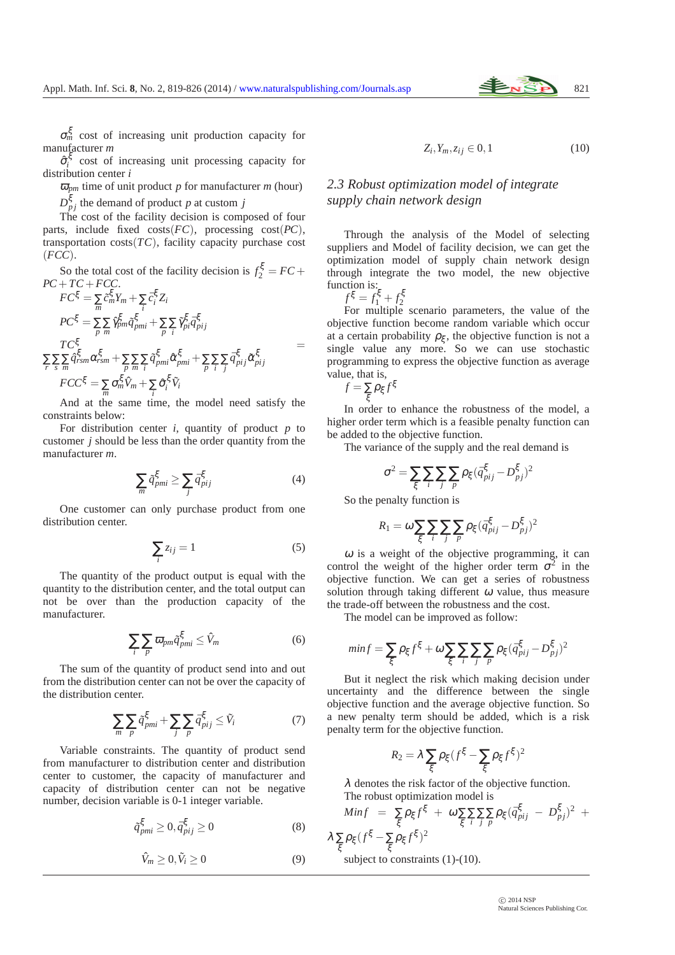σ ξ *<sup>m</sup>* cost of increasing unit production capacity for manufacturer *m*

 $\hat{\sigma}_i^{\xi}$  cost of increasing unit processing capacity for distribution center *i*

 $\overline{\omega}_{pm}$  time of unit product *p* for manufacturer *m* (hour)

 $D_{pj}^{\xi}$  the demand of product *p* at custom *j* 

The cost of the facility decision is composed of four parts, include fixed costs(*FC*), processing cost(*PC*), transportation  $costs(TC)$ , facility capacity purchase cost (*FCC*).

So the total cost of the facility decision is  $f_2^{\xi} = FC +$  $PC+TC+FCC$ .

$$
FC^{\xi} = \sum_{m} \tilde{c}_{m}^{\xi} Y_{m} + \sum_{i} \tilde{c}_{i}^{\xi} Z_{i}
$$
  
\n
$$
PC^{\xi} = \sum_{p} \sum_{m} \hat{\gamma}_{pm}^{\xi} \tilde{q}_{pmi}^{\xi} + \sum_{p} \sum_{i} \tilde{\gamma}_{pi}^{\xi} \tilde{q}_{pij}^{\xi}
$$
  
\n
$$
\sum_{r} \sum_{s} \sum_{m} \hat{q}_{rsm}^{\xi} \alpha_{rsm}^{\xi} + \sum_{p} \sum_{m} \sum_{i} \tilde{q}_{pmi}^{\xi} \hat{\alpha}_{pmi}^{\xi} + \sum_{p} \sum_{i} \sum_{j} \tilde{q}_{pij}^{\xi} \tilde{\alpha}_{pij}^{\xi}
$$
  
\n
$$
FCC^{\xi} = \sum_{m} \sigma_{m}^{\xi} \hat{V}_{m} + \sum_{i} \hat{\sigma}_{i}^{\xi} \tilde{V}_{i}
$$
  
\n(12)

And at the same time, the model need satisfy the constraints below:

For distribution center  $i$ , quantity of product  $p$  to customer *j* should be less than the order quantity from the manufacturer *m*.

$$
\sum_{m} \tilde{q}_{pmi}^{\xi} \ge \sum_{j} \bar{q}_{pij}^{\xi} \tag{4}
$$

One customer can only purchase product from one distribution center.

$$
\sum_{i} z_{ij} = 1 \tag{5}
$$

The quantity of the product output is equal with the quantity to the distribution center, and the total output can not be over than the production capacity of the manufacturer.

$$
\sum_{i} \sum_{p} \overline{\omega}_{pm} \tilde{q}_{pmi}^{\xi} \le \hat{V}_m \tag{6}
$$

The sum of the quantity of product send into and out from the distribution center can not be over the capacity of the distribution center.

$$
\sum_{m} \sum_{p} \tilde{q}_{pmi}^{\xi} + \sum_{j} \sum_{p} \bar{q}_{pij}^{\xi} \le \tilde{V}_{i}
$$
 (7)

Variable constraints. The quantity of product send from manufacturer to distribution center and distribution center to customer, the capacity of manufacturer and capacity of distribution center can not be negative number, decision variable is 0-1 integer variable.

$$
\tilde{q}_{pmi}^{\xi} \ge 0, \bar{q}_{pij}^{\xi} \ge 0
$$
\n(8)

$$
\hat{V}_m \ge 0, \tilde{V}_i \ge 0 \tag{9}
$$

$$
Z_i, Y_m, z_{ij} \in 0, 1 \tag{10}
$$

# *2.3 Robust optimization model of integrate supply chain network design*

Through the analysis of the Model of selecting suppliers and Model of facility decision, we can get the optimization model of supply chain network design through integrate the two model, the new objective function is:

$$
f^{\xi} = f_1^{\xi} + f_2^{\xi}
$$

 $f^{\xi} = f_1^{\xi} + f_2^{\xi}$ <br>For multiple scenario parameters, the value of the objective function become random variable which occur at a certain probability  $\rho_{\xi}$ , the objective function is not a single value any more. So we can use stochastic programming to express the objective function as average value, that is,

$$
f = \sum_{\xi} \rho_{\xi} f^{\xi}
$$

In order to enhance the robustness of the model, a higher order term which is a feasible penalty function can be added to the objective function.

The variance of the supply and the real demand is

$$
\sigma^2 = \sum_\xi \sum_i \sum_j \sum_p \rho_\xi (\bar{q}^\xi_{pij} - D^\xi_{pj})^2
$$

So the penalty function is

$$
R_1 = \omega \sum_{\xi} \sum_i \sum_j \sum_p \rho_{\xi} (\bar{q}_{pij}^{\xi} - D_{pj}^{\xi})^2
$$

 $\omega$  is a weight of the objective programming, it can control the weight of the higher order term  $\sigma^2$  in the objective function. We can get a series of robustness solution through taking different  $\omega$  value, thus measure the trade-off between the robustness and the cost.

The model can be improved as follow:

$$
min f = \sum_{\xi} \rho_{\xi} f^{\xi} + \omega \sum_{\xi} \sum_{i} \sum_{j} \sum_{p} \rho_{\xi} (\bar{q}_{pij}^{\xi} - D_{pj}^{\xi})^2
$$

But it neglect the risk which making decision under uncertainty and the difference between the single objective function and the average objective function. So a new penalty term should be added, which is a risk penalty term for the objective function.

$$
R_2 = \lambda \sum_{\xi} \rho_{\xi} (f^{\xi} - \sum_{\xi} \rho_{\xi} f^{\xi})^2
$$

 $\lambda$  denotes the risk factor of the objective function. The robust optimization model is

$$
Min f = \sum_{\xi} \rho_{\xi} f^{\xi} + \omega \sum_{\xi} \sum_{j} \sum_{p} \rho_{\xi} (\bar{q}_{pij}^{\xi} - D_{pj}^{\xi})^2 +
$$
  

$$
\lambda \sum_{\xi} \rho_{\xi} (f^{\xi} - \sum_{\xi} \rho_{\xi} f^{\xi})^2
$$
  
subject to constraints (1)-(10).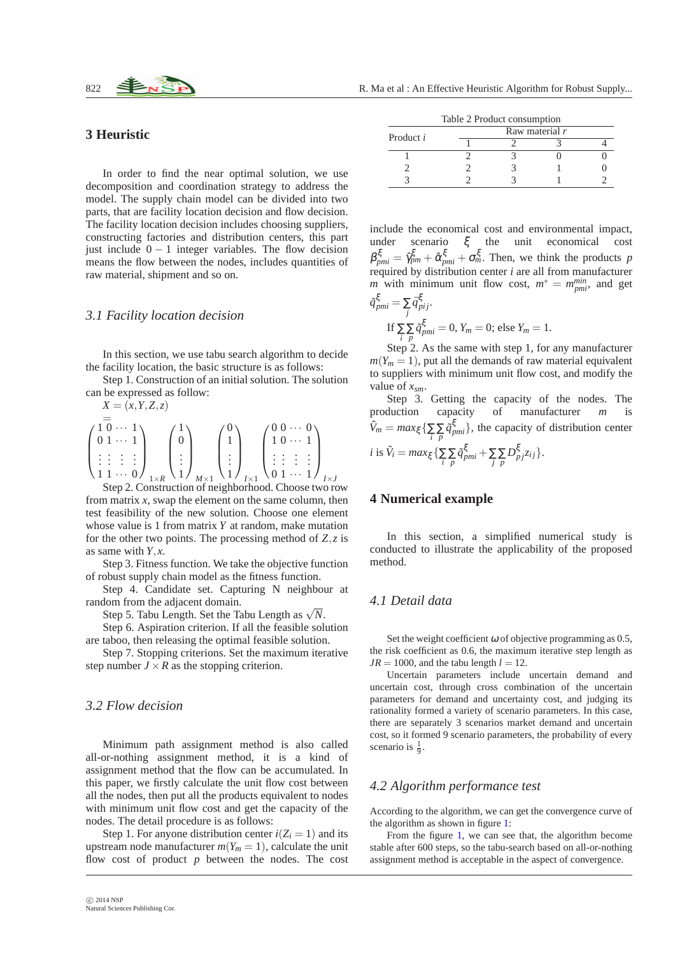## **3 Heuristic**

In order to find the near optimal solution, we use decomposition and coordination strategy to address the model. The supply chain model can be divided into two parts, that are facility location decision and flow decision. The facility location decision includes choosing suppliers, constructing factories and distribution centers, this part just include  $0 - 1$  integer variables. The flow decision means the flow between the nodes, includes quantities of raw material, shipment and so on.

## *3.1 Facility location decision*

In this section, we use tabu search algorithm to decide the facility location, the basic structure is as follows:

Step 1. Construction of an initial solution. The solution can be expressed as follow:

$$
X = (x, Y, Z, z)
$$
  
\n
$$
\begin{pmatrix}\n1 & 0 & \cdots & 1 \\
0 & 1 & \cdots & 1 \\
\vdots & \vdots & \vdots & \vdots \\
1 & 1 & \cdots & 0\n\end{pmatrix}_{1 \times R} \begin{pmatrix}\n1 \\
0 \\
\vdots \\
1\n\end{pmatrix}_{M \times 1} \begin{pmatrix}\n0 \\
1 \\
\vdots \\
1\n\end{pmatrix}_{I \times 1} \begin{pmatrix}\n0 & 0 & \cdots & 0 \\
1 & 0 & \cdots & 1 \\
\vdots & \vdots & \vdots & \vdots \\
0 & 1 & \cdots & 1\n\end{pmatrix}_{I \times J}
$$
  
\nStep 2. Construction of neighborhood. Choose two row

from matrix *x*, swap the element on the same column, then test feasibility of the new solution. Choose one element whose value is 1 from matrix *Y* at random, make mutation for the other two points. The processing method of *Z*,*z* is as same with *Y*, *x*.

Step 3. Fitness function. We take the objective function of robust supply chain model as the fitness function.

Step 4. Candidate set. Capturing N neighbour at random from the adjacent domain.

Step 5. Tabu Length. Set the Tabu Length as  $\sqrt{N}$ .

Step 6. Aspiration criterion. If all the feasible solution are taboo, then releasing the optimal feasible solution.

Step 7. Stopping criterions. Set the maximum iterative step number  $J \times R$  as the stopping criterion.

## *3.2 Flow decision*

Minimum path assignment method is also called all-or-nothing assignment method, it is a kind of assignment method that the flow can be accumulated. In this paper, we firstly calculate the unit flow cost between all the nodes, then put all the products equivalent to nodes with minimum unit flow cost and get the capacity of the nodes. The detail procedure is as follows:

Step 1. For anyone distribution center  $i(Z_i = 1)$  and its upstream node manufacturer  $m(Y_m = 1)$ , calculate the unit flow cost of product *p* between the nodes. The cost

| Table 2 Product consumption |                |  |  |  |  |  |  |
|-----------------------------|----------------|--|--|--|--|--|--|
| Product i                   | Raw material r |  |  |  |  |  |  |
|                             |                |  |  |  |  |  |  |
|                             |                |  |  |  |  |  |  |
|                             |                |  |  |  |  |  |  |
|                             |                |  |  |  |  |  |  |

include the economical cost and environmental impact, under scenario ξ the unit economical cost  $\beta_{pmi}^{\xi} = \hat{\gamma}_{pm}^{\xi} + \hat{\alpha}_{pmi}^{\xi} + \sigma_{m}^{\xi}$ . Then, we think the products *p* required by distribution center *i* are all from manufacturer *m* with minimum unit flow cost,  $m^* = m_{pmi}^{min}$ , and get

$$
\tilde{q}_{pmi}^{\xi} = \sum_{j} \tilde{q}_{pij}^{\xi}.
$$
  
If 
$$
\sum_{i} \tilde{q}_{pmi}^{\xi} = 0, Y_m = 0; \text{ else } Y_m = 1.
$$

Step 2. As the same with step 1, for any manufacturer  $m(Y_m = 1)$ , put all the demands of raw material equivalent to suppliers with minimum unit flow cost, and modify the value of *xsm*.

Step 3. Getting the capacity of the nodes. The production capacity of manufacturer *m* is  $\hat{V}_m = max_{\xi} \left\{ \sum_i \sum_p \tilde{q}_{pmi}^{\xi} \right\}$ , the capacity of distribution center *i* is  $\tilde{V}_i = \max_{\xi} \{ \sum_{i} \sum_{p} \tilde{q}_{pmi}^{\xi} + \sum_{j} \sum_{p} D_{pj}^{\xi} z_{ij} \}.$ 

#### **4 Numerical example**

In this section, a simplified numerical study is conducted to illustrate the applicability of the proposed method.

## *4.1 Detail data*

Set the weight coefficient  $\omega$  of objective programming as 0.5, the risk coefficient as 0.6, the maximum iterative step length as  $JR = 1000$ , and the tabu length  $l = 12$ .

Uncertain parameters include uncertain demand and uncertain cost, through cross combination of the uncertain parameters for demand and uncertainty cost, and judging its rationality formed a variety of scenario parameters. In this case, there are separately 3 scenarios market demand and uncertain cost, so it formed 9 scenario parameters, the probability of every scenario is  $\frac{1}{9}$ .

# *4.2 Algorithm performance test*

According to the algorithm, we can get the convergence curve of the algorithm as shown in figure [1:](#page-4-0)

From the figure [1,](#page-4-0) we can see that, the algorithm become stable after 600 steps, so the tabu-search based on all-or-nothing assignment method is acceptable in the aspect of convergence.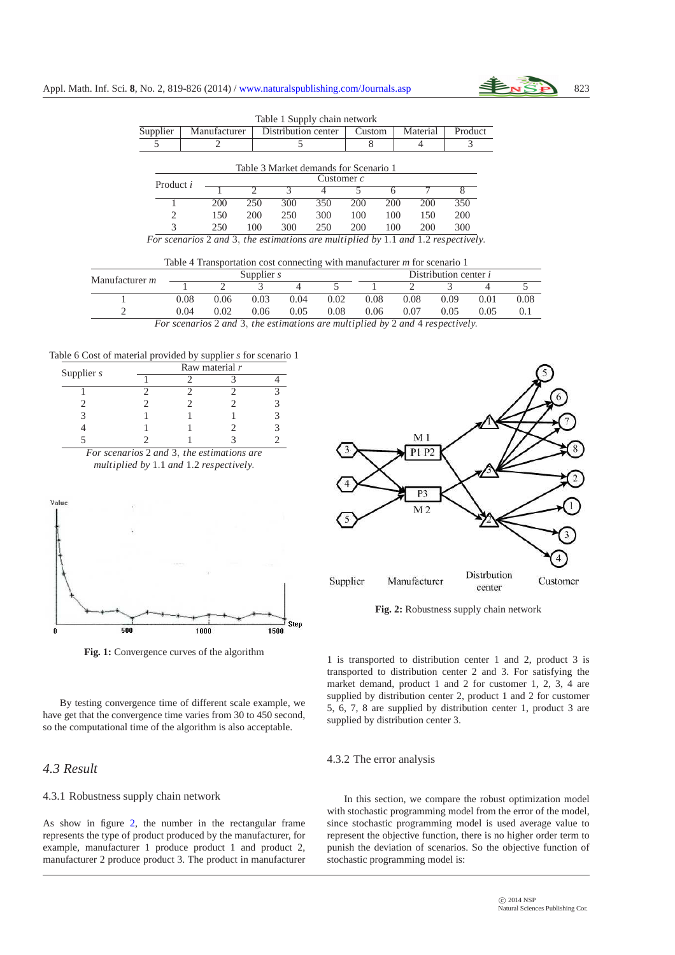

|           |              |                             | Table T Supply chain network          |              |        |     |          |         |
|-----------|--------------|-----------------------------|---------------------------------------|--------------|--------|-----|----------|---------|
| Supplier  | Manufacturer |                             | Distribution center                   |              | Custom |     | Material | Product |
|           |              |                             |                                       |              |        |     |          |         |
|           |              |                             | Table 3 Market demands for Scenario 1 | Customer $c$ |        |     |          |         |
| Product i |              | $\mathcal{D}_{\mathcal{A}}$ | $\mathcal{R}$                         |              |        | 6   |          | 8       |
|           | 200          | 250                         | 300                                   | 350          | 200    | 200 | 200      | 350     |
| 2         | 150          | 200                         | 250                                   | 300          | 100    | 100 | 150      | 200     |
| 3         | 250          | 100                         | 300                                   | 250          | 200    | 100 | 200      | 300     |

 $T$  1  $1 \times 1$   $1 \times 1$ 

*For scenarios* 2 *and* 3, *the estimations are multiplied by* 1.1 *and* 1.2 *respectively*.

| Table 4 Transportation cost connecting with manufacturer $m$ for scenario 1 |  |  |  |
|-----------------------------------------------------------------------------|--|--|--|
|                                                                             |  |  |  |

| Manufacturer <i>m</i> |                                                                              | Supplier $s$ |      |      |      | Distribution center <i>i</i> |      |      |      |      |
|-----------------------|------------------------------------------------------------------------------|--------------|------|------|------|------------------------------|------|------|------|------|
|                       |                                                                              |              |      |      |      |                              |      |      |      |      |
|                       | 0.08                                                                         | 0.06         | 0.03 | 0.04 | 0.02 | 0.08                         | 0.08 | 0.09 | 0.01 | 0.08 |
|                       | 0.04                                                                         | 0.02         | 0.06 | 0.05 | 0.08 | 0.06                         | 0.07 | 0.05 | 0.05 |      |
|                       | For scanarios 2 and 3 the estimations are multiplied by 2 and A respectively |              |      |      |      |                              |      |      |      |      |

*For scenarios* 2 *and* 3, *the estimations are multiplied by* 2 *and* 4 *respectively*.

Table 6 Cost of material provided by supplier *s* for scenario 1



<span id="page-4-0"></span>**Fig. 1:** Convergence curves of the algorithm

By testing convergence time of different scale example, we have get that the convergence time varies from 30 to 450 second, so the computational time of the algorithm is also acceptable.

# *4.3 Result*

#### 4.3.1 Robustness supply chain network

As show in figure [2,](#page-4-1) the number in the rectangular frame represents the type of product produced by the manufacturer, for example, manufacturer 1 produce product 1 and product 2, manufacturer 2 produce product 3. The product in manufacturer



<span id="page-4-1"></span>**Fig. 2:** Robustness supply chain network

1 is transported to distribution center 1 and 2, product 3 is transported to distribution center 2 and 3. For satisfying the market demand, product 1 and 2 for customer 1, 2, 3, 4 are supplied by distribution center 2, product 1 and 2 for customer 5, 6, 7, 8 are supplied by distribution center 1, product 3 are supplied by distribution center 3.

#### 4.3.2 The error analysis

In this section, we compare the robust optimization model with stochastic programming model from the error of the model, since stochastic programming model is used average value to represent the objective function, there is no higher order term to punish the deviation of scenarios. So the objective function of stochastic programming model is: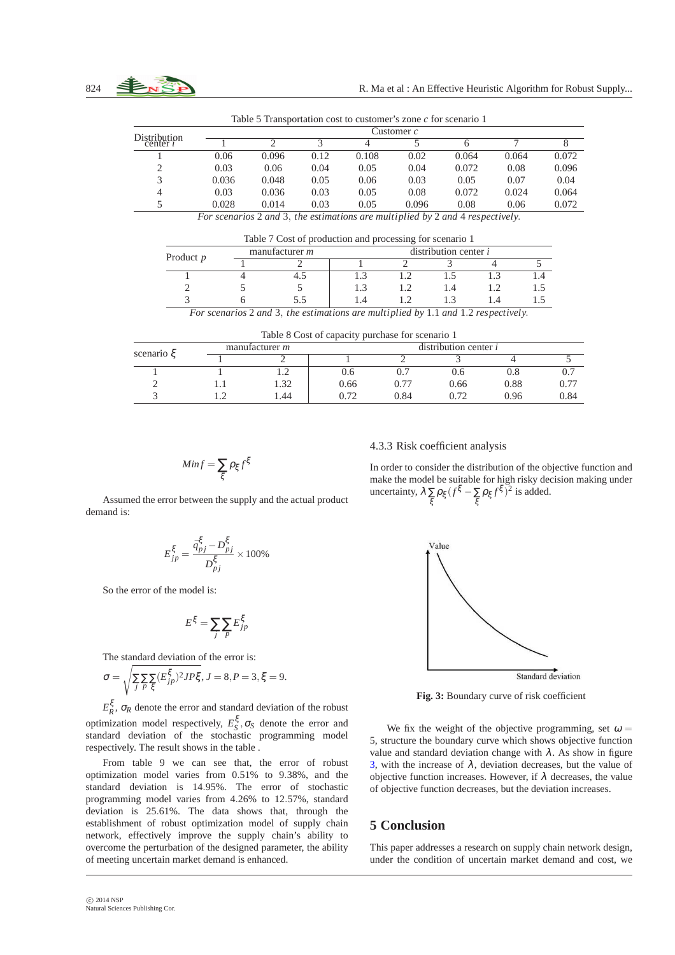| Distribution   |       | Customer <i>c</i> |      |       |       |       |       |       |  |  |  |
|----------------|-------|-------------------|------|-------|-------|-------|-------|-------|--|--|--|
| center $\iota$ |       |                   |      |       |       |       |       |       |  |  |  |
|                | 0.06  | 0.096             | 0.12 | 0.108 | 0.02  | 0.064 | 0.064 | 0.072 |  |  |  |
|                | 0.03  | 0.06              | 0.04 | 0.05  | 0.04  | 0.072 | 0.08  | 0.096 |  |  |  |
|                | 0.036 | 0.048             | 0.05 | 0.06  | 0.03  | 0.05  | 0.07  | 0.04  |  |  |  |
| 4              | 0.03  | 0.036             | 0.03 | 0.05  | 0.08  | 0.072 | 0.024 | 0.064 |  |  |  |
|                | 0.028 | 0.014             | 0.03 | 0.05  | 0.096 | 0.08  | 0.06  | 0.072 |  |  |  |

Table 5 Transportation cost to customer's zone *c* for scenario 1

*For scenarios* 2 *and* 3, *the estimations are multiplied by* 2 *and* 4 *respectively*.

|             | Table 7 Cost of production and processing for scenario 1 |                         |  |    |  |           |  |  |  |
|-------------|----------------------------------------------------------|-------------------------|--|----|--|-----------|--|--|--|
| Product $p$ | manufacturer $m$                                         | distribution center $i$ |  |    |  |           |  |  |  |
|             |                                                          |                         |  |    |  |           |  |  |  |
|             |                                                          |                         |  |    |  | $\cdot$ 4 |  |  |  |
|             |                                                          |                         |  | 14 |  |           |  |  |  |
|             |                                                          |                         |  |    |  |           |  |  |  |

*For scenarios* 2 *and* 3, *the estimations are multiplied by* 1.1 *and* 1.2 *respectively*.

Table 8 Cost of capacity purchase for scenario 1

|                  |                       | --   |                         |      |      |      |  |  |  |
|------------------|-----------------------|------|-------------------------|------|------|------|--|--|--|
| scenario $\zeta$ | manufacturer <i>m</i> |      | distribution center $i$ |      |      |      |  |  |  |
|                  |                       |      |                         |      |      |      |  |  |  |
|                  |                       | U.O  |                         | J.O  | U.ŏ  |      |  |  |  |
|                  | 32                    | 0.66 | 0.77                    | 0.66 | 0.88 | 0.77 |  |  |  |
|                  | 1.44                  | በ 70 | 0.84                    | 0.72 | 0.96 | 0.84 |  |  |  |

$$
Min f = \sum_{\xi} \rho_{\xi} f^{\xi}
$$

4.3.3 Risk coefficient analysis

In order to consider the distribution of the objective function and make the model be suitable for high risky decision making under uncertainty,  $\lambda \sum_{\xi} \rho_{\xi} (f^{\xi} - \sum_{\xi} \rho_{\xi} f^{\xi})^2$  is added. ξ ξ

Assumed the error between the supply and the actual product demand is:

$$
E_{jp}^{\xi} = \frac{\bar{q}_{pj}^{\xi} - D_{pj}^{\xi}}{D_{pj}^{\xi}} \times 100\%
$$

So the error of the model is:

$$
E^{\xi} = \sum_{j} \sum_{p} E^{\xi}_{jp}
$$

The standard deviation of the error is:

$$
\sigma = \sqrt{\sum_{j} \sum_{p} \sum_{\xi} (E_{jp}^{\xi})^2 J P \xi}, J = 8, P = 3, \xi = 9.
$$

 $E_R^{\xi}$ ,  $\sigma_R$  denote the error and standard deviation of the robust optimization model respectively,  $E_S^{\xi}$ ,  $\sigma_S$  denote the error and standard deviation of the stochastic programming model respectively. The result shows in the table .

From table 9 we can see that, the error of robust optimization model varies from 0.51% to 9.38%, and the standard deviation is 14.95%. The error of stochastic programming model varies from 4.26% to 12.57%, standard deviation is 25.61%. The data shows that, through the establishment of robust optimization model of supply chain network, effectively improve the supply chain's ability to overcome the perturbation of the designed parameter, the ability of meeting uncertain market demand is enhanced.





<span id="page-5-0"></span>**Fig. 3:** Boundary curve of risk coefficient

We fix the weight of the objective programming, set  $\omega =$ 5, structure the boundary curve which shows objective function value and standard deviation change with  $\lambda$ . As show in figure [3,](#page-5-0) with the increase of  $\lambda$ , deviation decreases, but the value of objective function increases. However, if  $\lambda$  decreases, the value of objective function decreases, but the deviation increases.

# **5 Conclusion**

This paper addresses a research on supply chain network design, under the condition of uncertain market demand and cost, we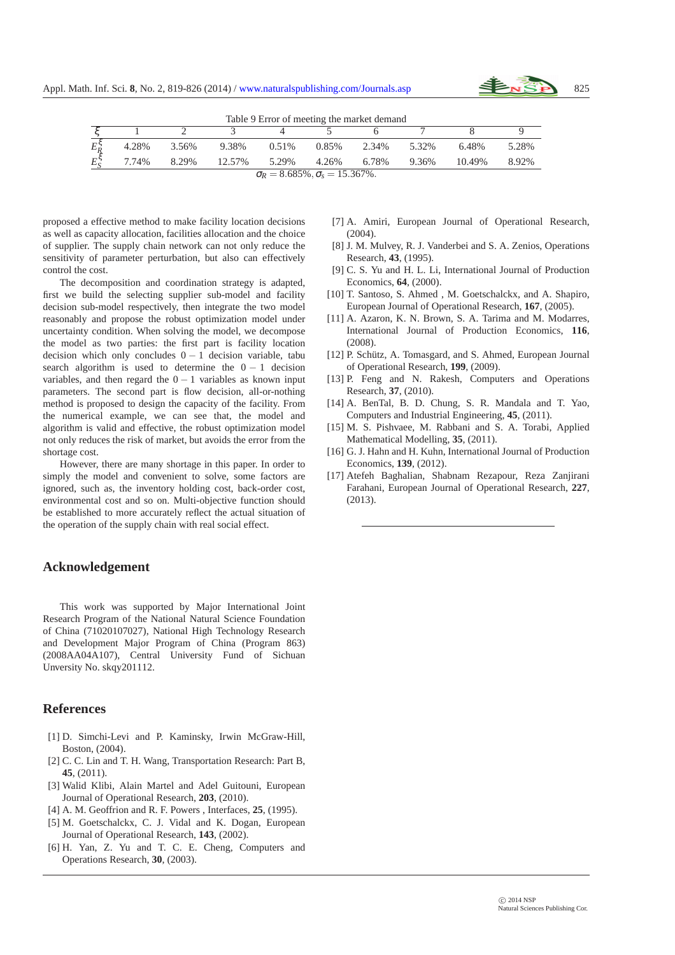

| Table 9 Error of meeting the market demand |                                                |       |        |       |       |       |       |        |       |  |
|--------------------------------------------|------------------------------------------------|-------|--------|-------|-------|-------|-------|--------|-------|--|
|                                            |                                                |       |        |       |       |       |       |        |       |  |
| $E_R^{\varsigma}$                          | 4.28%                                          | 3.56% | 9.38%  | 0.51% | 0.85% | 2.34% | 5.32% | 6.48%  | 5.28% |  |
| $E_{\rm c}^{\zeta}$                        | 7.74%                                          | 8.29% | 12.57% | 5.29% | 4.26% | 6.78% | 9.36% | 10.49% | 8.92% |  |
|                                            | $\sigma_R = 8.685\%$ , $\sigma_s = 15.367\%$ . |       |        |       |       |       |       |        |       |  |

proposed a effective method to make facility location decisions as well as capacity allocation, facilities allocation and the choice of supplier. The supply chain network can not only reduce the sensitivity of parameter perturbation, but also can effectively control the cost.

The decomposition and coordination strategy is adapted, first we build the selecting supplier sub-model and facility decision sub-model respectively, then integrate the two model reasonably and propose the robust optimization model under uncertainty condition. When solving the model, we decompose the model as two parties: the first part is facility location decision which only concludes  $0 - 1$  decision variable, tabu search algorithm is used to determine the  $0 - 1$  decision variables, and then regard the  $0 - 1$  variables as known input parameters. The second part is flow decision, all-or-nothing method is proposed to design the capacity of the facility. From the numerical example, we can see that, the model and algorithm is valid and effective, the robust optimization model not only reduces the risk of market, but avoids the error from the shortage cost.

However, there are many shortage in this paper. In order to simply the model and convenient to solve, some factors are ignored, such as, the inventory holding cost, back-order cost, environmental cost and so on. Multi-objective function should be established to more accurately reflect the actual situation of the operation of the supply chain with real social effect.

# **Acknowledgement**

This work was supported by Major International Joint Research Program of the National Natural Science Foundation of China (71020107027), National High Technology Research and Development Major Program of China (Program 863) (2008AA04A107), Central University Fund of Sichuan Unversity No. skqy201112.

#### **References**

- <span id="page-6-0"></span>[1] D. Simchi-Levi and P. Kaminsky, Irwin McGraw-Hill, Boston, (2004).
- <span id="page-6-1"></span>[2] C. C. Lin and T. H. Wang, Transportation Research: Part B, **45**, (2011).
- <span id="page-6-2"></span>[3] Walid Klibi, Alain Martel and Adel Guitouni, European Journal of Operational Research, **203**, (2010).
- <span id="page-6-4"></span><span id="page-6-3"></span>[4] A. M. Geoffrion and R. F. Powers , Interfaces, **25**, (1995).
- [5] M. Goetschalckx, C. J. Vidal and K. Dogan, European Journal of Operational Research, **143**, (2002).
- <span id="page-6-5"></span>[6] H. Yan, Z. Yu and T. C. E. Cheng, Computers and Operations Research, **30**, (2003).
- <span id="page-6-6"></span>[7] A. Amiri, European Journal of Operational Research,  $(2004)$
- <span id="page-6-7"></span>[8] J. M. Mulvey, R. J. Vanderbei and S. A. Zenios, Operations Research, **43**, (1995).
- <span id="page-6-8"></span>[9] C. S. Yu and H. L. Li, International Journal of Production Economics, **64**, (2000).
- <span id="page-6-9"></span>[10] T. Santoso, S. Ahmed, M. Goetschalckx, and A. Shapiro, European Journal of Operational Research, **167**, (2005).
- <span id="page-6-10"></span>[11] A. Azaron, K. N. Brown, S. A. Tarima and M. Modarres, International Journal of Production Economics, **116**, (2008).
- <span id="page-6-11"></span>[12] P. Schütz, A. Tomasgard, and S. Ahmed, European Journal of Operational Research, **199**, (2009).
- <span id="page-6-12"></span>[13] P. Feng and N. Rakesh, Computers and Operations Research, **37**, (2010).
- <span id="page-6-13"></span>[14] A. BenTal, B. D. Chung, S. R. Mandala and T. Yao, Computers and Industrial Engineering, **45**, (2011).
- <span id="page-6-14"></span>[15] M. S. Pishvaee, M. Rabbani and S. A. Torabi, Applied Mathematical Modelling, **35**, (2011).
- <span id="page-6-15"></span>[16] G. J. Hahn and H. Kuhn, International Journal of Production Economics, **139**, (2012).
- <span id="page-6-16"></span>[17] Atefeh Baghalian, Shabnam Rezapour, Reza Zanjirani Farahani, European Journal of Operational Research, **227**, (2013).